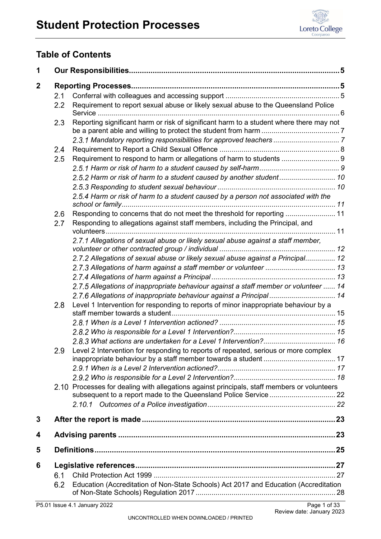

# **Table of Contents**

| 1 |     |                                                                                             |  |
|---|-----|---------------------------------------------------------------------------------------------|--|
| 2 |     |                                                                                             |  |
|   | 2.1 |                                                                                             |  |
|   | 2.2 | Requirement to report sexual abuse or likely sexual abuse to the Queensland Police          |  |
|   | 2.3 | Reporting significant harm or risk of significant harm to a student where there may not     |  |
|   |     |                                                                                             |  |
|   | 2.4 |                                                                                             |  |
|   | 2.5 | Requirement to respond to harm or allegations of harm to students  9                        |  |
|   |     |                                                                                             |  |
|   |     | 2.5.2 Harm or risk of harm to a student caused by another student 10                        |  |
|   |     |                                                                                             |  |
|   |     | 2.5.4 Harm or risk of harm to a student caused by a person not associated with the          |  |
|   | 2.6 | Responding to concerns that do not meet the threshold for reporting  11                     |  |
|   | 2.7 | Responding to allegations against staff members, including the Principal, and               |  |
|   |     | 2.7.1 Allegations of sexual abuse or likely sexual abuse against a staff member,            |  |
|   |     | 2.7.2 Allegations of sexual abuse or likely sexual abuse against a Principal 12             |  |
|   |     |                                                                                             |  |
|   |     |                                                                                             |  |
|   |     | 2.7.5 Allegations of inappropriate behaviour against a staff member or volunteer  14        |  |
|   |     | 2.7.6 Allegations of inappropriate behaviour against a Principal  14                        |  |
|   | 2.8 | Level 1 Intervention for responding to reports of minor inappropriate behaviour by a        |  |
|   |     |                                                                                             |  |
|   |     |                                                                                             |  |
|   |     |                                                                                             |  |
|   | 2.9 | Level 2 Intervention for responding to reports of repeated, serious or more complex         |  |
|   |     |                                                                                             |  |
|   |     |                                                                                             |  |
|   |     | 2.10 Processes for dealing with allegations against principals, staff members or volunteers |  |
|   |     |                                                                                             |  |
|   |     |                                                                                             |  |
| 3 |     |                                                                                             |  |
| 4 |     |                                                                                             |  |
| 5 |     |                                                                                             |  |
| 6 |     |                                                                                             |  |
|   | 6.1 |                                                                                             |  |
|   | 6.2 | Education (Accreditation of Non-State Schools) Act 2017 and Education (Accreditation        |  |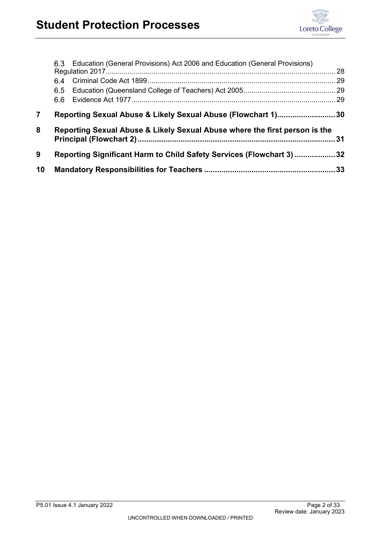

|                         | Education (General Provisions) Act 2006 and Education (General Provisions)<br>6.3 | 28 |
|-------------------------|-----------------------------------------------------------------------------------|----|
|                         | 64                                                                                | 29 |
|                         | 6.5                                                                               |    |
|                         | 6.6                                                                               |    |
| $\overline{\mathbf{7}}$ | Reporting Sexual Abuse & Likely Sexual Abuse (Flowchart 1)30                      |    |
|                         |                                                                                   |    |
| 8                       | Reporting Sexual Abuse & Likely Sexual Abuse where the first person is the        |    |
| 9                       | Reporting Significant Harm to Child Safety Services (Flowchart 3) 32              |    |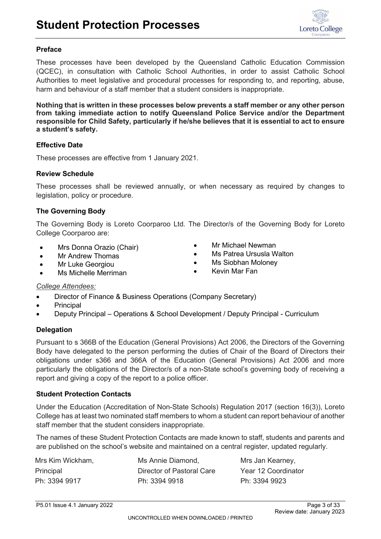

# **Preface**

These processes have been developed by the Queensland Catholic Education Commission (QCEC), in consultation with Catholic School Authorities, in order to assist Catholic School Authorities to meet legislative and procedural processes for responding to, and reporting, abuse, harm and behaviour of a staff member that a student considers is inappropriate.

**Nothing that is written in these processes below prevents a staff member or any other person from taking immediate action to notify Queensland Police Service and/or the Department responsible for Child Safety, particularly if he/she believes that it is essential to act to ensure a student's safety.** 

### **Effective Date**

These processes are effective from 1 January 2021.

## **Review Schedule**

These processes shall be reviewed annually, or when necessary as required by changes to legislation, policy or procedure.

## **The Governing Body**

The Governing Body is Loreto Coorparoo Ltd. The Director/s of the Governing Body for Loreto College Coorparoo are:

- Mrs Donna Orazio (Chair)
- Mr Andrew Thomas
- Mr Luke Georgiou
- Mr Michael Newman
- Ms Patrea Ursusla Walton
- Ms Siobhan Moloney
- Ms Michelle Merriman
- Kevin Mar Fan

### *College Attendees:*

- Director of Finance & Business Operations (Company Secretary)
- **Principal**
- Deputy Principal Operations & School Development / Deputy Principal Curriculum

### **Delegation**

Pursuant to s 366B of the Education (General Provisions) Act 2006, the Directors of the Governing Body have delegated to the person performing the duties of Chair of the Board of Directors their obligations under s366 and 366A of the Education (General Provisions) Act 2006 and more particularly the obligations of the Director/s of a non-State school's governing body of receiving a report and giving a copy of the report to a police officer.

### **Student Protection Contacts**

Under the Education (Accreditation of Non-State Schools) Regulation 2017 (section 16(3)), Loreto College has at least two nominated staff members to whom a student can report behaviour of another staff member that the student considers inappropriate.

The names of these Student Protection Contacts are made known to staff, students and parents and are published on the school's website and maintained on a central register, updated regularly.

| Mrs Kim Wickham, | Ms Annie Diamond,         | Mrs Jan Kearney,    |
|------------------|---------------------------|---------------------|
| Principal        | Director of Pastoral Care | Year 12 Coordinator |
| Ph: 3394 9917    | Ph: 3394 9918             | Ph: 3394 9923       |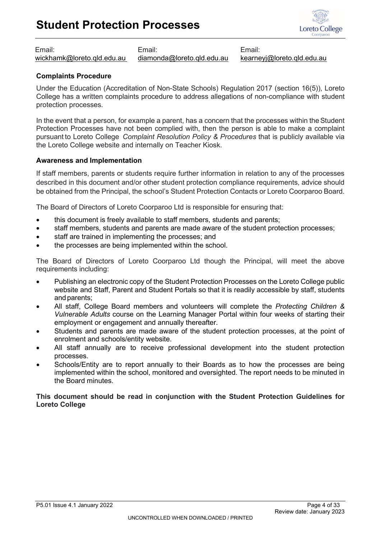# **Student Protection Processes**



Email: [wickhamk@loreto.qld.edu.au](mailto:wickhamk@loreto.qld.edu.au)

Email: [diamonda@loreto.qld.edu.au](mailto:diamonda@loreto.qld.edu.au)

Email: [kearneyj@loreto.qld.edu.au](mailto:kearneyj@loreto.qld.edu.au)

### **Complaints Procedure**

Under the Education (Accreditation of Non-State Schools) Regulation 2017 (section 16(5)), Loreto College has a written complaints procedure to address allegations of non-compliance with student protection processes.

In the event that a person, for example a parent, has a concern that the processes within the Student Protection Processes have not been complied with, then the person is able to make a complaint pursuant to Loreto College *Complaint Resolution Policy & Procedures* that is publicly available via the Loreto College website and internally on Teacher Kiosk.

#### **Awareness and Implementation**

If staff members, parents or students require further information in relation to any of the processes described in this document and/or other student protection compliance requirements, advice should be obtained from the Principal, the school's Student Protection Contacts or Loreto Coorparoo Board.

The Board of Directors of Loreto Coorparoo Ltd is responsible for ensuring that:

- this document is freely available to staff members, students and parents;
- staff members, students and parents are made aware of the student protection processes;
- staff are trained in implementing the processes; and
- the processes are being implemented within the school.

The Board of Directors of Loreto Coorparoo Ltd though the Principal, will meet the above requirements including:

- Publishing an electronic copy of the Student Protection Processes on the Loreto College public website and Staff, Parent and Student Portals so that it is readily accessible by staff, students and parents;
- All staff, College Board members and volunteers will complete the *Protecting Children & Vulnerable Adults* course on the Learning Manager Portal within four weeks of starting their employment or engagement and annually thereafter.
- Students and parents are made aware of the student protection processes, at the point of enrolment and schools/entity website.
- All staff annually are to receive professional development into the student protection processes.
- Schools/Entity are to report annually to their Boards as to how the processes are being implemented within the school, monitored and oversighted. The report needs to be minuted in the Board minutes.

**This document should be read in conjunction with the Student Protection Guidelines for Loreto College**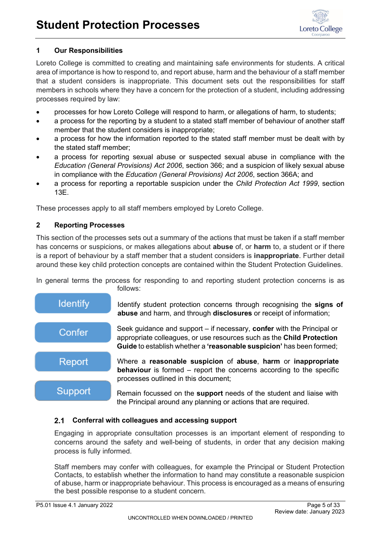

# <span id="page-4-0"></span>**1 Our Responsibilities**

Loreto College is committed to creating and maintaining safe environments for students. A critical area of importance is how to respond to, and report abuse, harm and the behaviour of a staff member that a student considers is inappropriate. This document sets out the responsibilities for staff members in schools where they have a concern for the protection of a student, including addressing processes required by law:

- processes for how Loreto College will respond to harm, or allegations of harm, to students;
- a process for the reporting by a student to a stated staff member of behaviour of another staff member that the student considers is inappropriate;
- a process for how the information reported to the stated staff member must be dealt with by the stated staff member;
- a process for reporting sexual abuse or suspected sexual abuse in compliance with the *Education (General Provisions) Act 2006*, section 366; and a suspicion of likely sexual abuse in compliance with the *Education (General Provisions) Act 2006*, section 366A; and
- a process for reporting a reportable suspicion under the *Child Protection Act 1999*, section 13E.

These processes apply to all staff members employed by Loreto College.

# <span id="page-4-1"></span>**2 Reporting Processes**

This section of the processes sets out a summary of the actions that must be taken if a staff member has concerns or suspicions, or makes allegations about **abuse** of, or **harm** to, a student or if there is a report of behaviour by a staff member that a student considers is **inappropriate**. Further detail around these key child protection concepts are contained within the Student Protection Guidelines.

In general terms the process for responding to and reporting student protection concerns is as



#### <span id="page-4-2"></span> $2.1$ **Conferral with colleagues and accessing support**

Engaging in appropriate consultation processes is an important element of responding to concerns around the safety and well-being of students, in order that any decision making process is fully informed.

Staff members may confer with colleagues, for example the Principal or Student Protection Contacts, to establish whether the information to hand may constitute a reasonable suspicion of abuse, harm or inappropriate behaviour. This process is encouraged as a means of ensuring the best possible response to a student concern.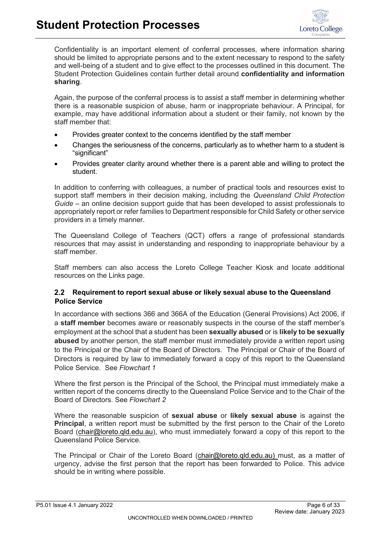

Confidentiality is an important element of conferral processes, where information sharing should be limited to appropriate persons and to the extent necessary to respond to the safety and well-being of a student and to give effect to the processes outlined in this document. The Student Protection Guidelines contain further detail around **confidentiality and information sharing**.

Again, the purpose of the conferral process is to assist a staff member in determining whether there is a reasonable suspicion of abuse, harm or inappropriate behaviour. A Principal, for example, may have additional information about a student or their family, not known by the staff member that:

- Provides greater context to the concerns identified by the staff member
- Changes the seriousness of the concerns, particularly as to whether harm to a student is "significant"
- Provides greater clarity around whether there is a parent able and willing to protect the student.

In addition to conferring with colleagues, a number of practical tools and resources exist to support staff members in their decision making, including the *[Queensland Child Protection](https://www.csyw.qld.gov.au/about-us/partners/child-family/our-government-partners/queensland-child-protection-guide)  [Guide](https://www.csyw.qld.gov.au/about-us/partners/child-family/our-government-partners/queensland-child-protection-guide)* – an online decision support guide that has been developed to assist professionals to appropriately report or refer families to Department responsible for Child Safety or other service providers in a timely manner.

The Queensland College of Teachers (QCT) offers a range of professional standards resources that may assist in understanding and responding to inappropriate behaviour by a staff member.

Staff members can also access the Loreto College Teacher Kiosk and locate additional resources on the Links page.

# <span id="page-5-0"></span>**Requirement to report sexual abuse or likely sexual abuse to the Queensland Police Service**

In accordance with sections 366 and 366A of the Education (General Provisions) Act 2006, if a **staff member** becomes aware or reasonably suspects in the course of the staff member's employment at the school that a student has been **sexually abused** or is **likely to be sexually abused** by another person, the staff member must immediately provide a written report using to the Principal or the Chair of the Board of Directors. The Principal or Chair of the Board of Directors is required by law to immediately forward a copy of this report to the Queensland Police Service. See *[Flowchart 1](#page-28-2)*

Where the first person is the Principal of the School, the Principal must immediately make a written report of the concerns directly to the Queensland Police Service and to the Chair of the Board of Directors. See *Flowchart 2*

Where the reasonable suspicion of **sexual abuse** or **likely sexual abuse** is against the **Principal**, a written report must be submitted by the first person to the Chair of the Loreto Board (chair@loreto.qld.edu.au), who must immediately forward a copy of this report to the Queensland Police Service.

The Principal or Chair of the Loreto Board (chair@loreto.qld.edu.au) must, as a matter of urgency, advise the first person that the report has been forwarded to Police. This advice should be in writing where possible.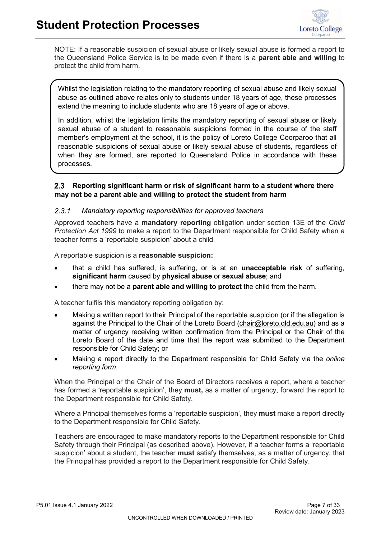

NOTE: If a reasonable suspicion of sexual abuse or likely sexual abuse is formed a report to the Queensland Police Service is to be made even if there is a **parent able and willing** to protect the child from harm.

Whilst the legislation relating to the mandatory reporting of sexual abuse and likely sexual abuse as outlined above relates only to students under 18 years of age, these processes extend the meaning to include students who are 18 years of age or above.

In addition, whilst the legislation limits the mandatory reporting of sexual abuse or likely sexual abuse of a student to reasonable suspicions formed in the course of the staff member's employment at the school, it is the policy of Loreto College Coorparoo that all reasonable suspicions of sexual abuse or likely sexual abuse of students, regardless of when they are formed, are reported to Queensland Police in accordance with these processes.

# <span id="page-6-0"></span>**Reporting significant harm or risk of significant harm to a student where there may not be a parent able and willing to protect the student from harm**

#### <span id="page-6-1"></span> $2.3.1$ *Mandatory reporting responsibilities for approved teachers*

Approved teachers have a **mandatory reporting** obligation under section 13E of the *Child Protection Act 1999* to make a report to the Department responsible for Child Safety when a teacher forms a 'reportable suspicion' about a child.

A reportable suspicion is a **reasonable suspicion:**

- that a child has suffered, is suffering, or is at an **unacceptable risk** of suffering, **significant harm** caused by **physical abuse** or **sexual abuse**; and
- there may not be a **parent able and willing to protect** the child from the harm.

A teacher fulfils this mandatory reporting obligation by:

- Making a written report to their Principal of the reportable suspicion (or if the allegation is against the Principal to the Chair of the Loreto Board (chair@loreto.qld.edu.au) and as a matter of urgency receiving written confirmation from the Principal or the Chair of the Loreto Board of the date and time that the report was submitted to the Department responsible for Child Safety; or
- Making a report directly to the Department responsible for Child Safety via the *[online](https://secure.communities.qld.gov.au/cbir/home/ChildSafety)  [reporting form](https://secure.communities.qld.gov.au/cbir/home/ChildSafety)*.

When the Principal or the Chair of the Board of Directors receives a report, where a teacher has formed a 'reportable suspicion', they **must,** as a matter of urgency, forward the report to the Department responsible for Child Safety.

Where a Principal themselves forms a 'reportable suspicion', they **must** make a report directly to the Department responsible for Child Safety.

Teachers are encouraged to make mandatory reports to the Department responsible for Child Safety through their Principal (as described above). However, if a teacher forms a 'reportable suspicion' about a student, the teacher **must** satisfy themselves, as a matter of urgency, that the Principal has provided a report to the Department responsible for Child Safety.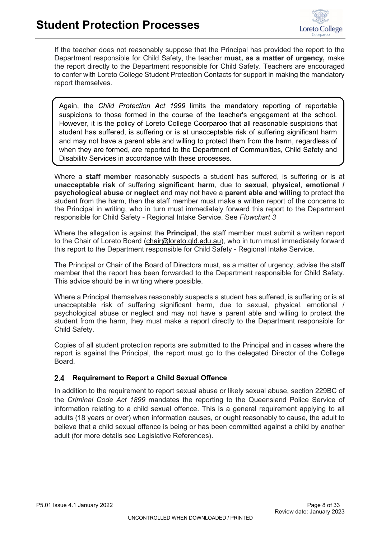

If the teacher does not reasonably suppose that the Principal has provided the report to the Department responsible for Child Safety, the teacher **must, as a matter of urgency,** make the report directly to the Department responsible for Child Safety. Teachers are encouraged to confer with Loreto College Student Protection Contacts for support in making the mandatory report themselves.

Again, the *Child Protection Act 1999* limits the mandatory reporting of reportable suspicions to those formed in the course of the teacher's engagement at the school. However, it is the policy of Loreto College Coorparoo that all reasonable suspicions that student has suffered, is suffering or is at unacceptable risk of suffering significant harm and may not have a parent able and willing to protect them from the harm, regardless of when they are formed, are reported to the Department of Communities, Child Safety and Disability Services in accordance with these processes.

Where a **staff member** reasonably suspects a student has suffered, is suffering or is at **unacceptable risk** of suffering **significant harm**, due to **sexual**, **physical**, **emotional / psychological abuse** or **neglect** and may not have a **parent able and willing** to protect the student from the harm, then the staff member must make a written report of the concerns to the Principal in writing, who in turn must immediately forward this report to the Department responsible for Child Safety - Regional Intake Service. See *Flowchart 3*

Where the allegation is against the **Principal**, the staff member must submit a written report to the Chair of Loreto Board (chair@loreto.qld.edu.au), who in turn must immediately forward this report to the Department responsible for Child Safety - Regional Intake Service.

The Principal or Chair of the Board of Directors must, as a matter of urgency, advise the staff member that the report has been forwarded to the Department responsible for Child Safety. This advice should be in writing where possible.

Where a Principal themselves reasonably suspects a student has suffered, is suffering or is at unacceptable risk of suffering significant harm, due to sexual, physical, emotional / psychological abuse or neglect and may not have a parent able and willing to protect the student from the harm, they must make a report directly to the Department responsible for Child Safety.

Copies of all student protection reports are submitted to the Principal and in cases where the report is against the Principal, the report must go to the delegated Director of the College Board.

#### <span id="page-7-0"></span> $2.4$ **Requirement to Report a Child Sexual Offence**

In addition to the requirement to report sexual abuse or likely sexual abuse, section 229BC of the *Criminal Code Act 1899* mandates the reporting to the Queensland Police Service of information relating to a child sexual offence. This is a general requirement applying to all adults (18 years or over) when information causes, or ought reasonably to cause, the adult to believe that a child sexual offence is being or has been committed against a child by another adult (for more details see Legislative References).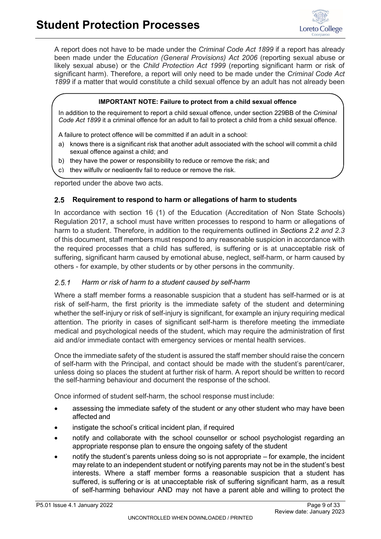

A report does not have to be made under the *Criminal Code Act 1899* if a report has already been made under the *Education (General Provisions) Act 2006* (reporting sexual abuse or likely sexual abuse) or the *Child Protection Act 1999* (reporting significant harm or risk of significant harm). Therefore, a report will only need to be made under the *Criminal Code Act 1899* if a matter that would constitute a child sexual offence by an adult has not already been

#### **IMPORTANT NOTE: Failure to protect from a child sexual offence**

In addition to the requirement to report a child sexual offence, under section 229BB of the *Criminal Code Act 1899* it a criminal offence for an adult to fail to protect a child from a child sexual offence.

A failure to protect offence will be committed if an adult in a school:

- a) knows there is a significant risk that another adult associated with the school will commit a child sexual offence against a child; and
- b) they have the power or responsibility to reduce or remove the risk; and
- c) they wilfully or negligently fail to reduce or remove the risk.

reported under the above two acts.

## <span id="page-8-0"></span>**Requirement to respond to harm or allegations of harm to students**

In accordance with section 16 (1) of the Education (Accreditation of Non State Schools) Regulation 2017, a school must have written processes to respond to harm or allegations of harm to a student. Therefore, in addition to the requirements outlined in *[Sections 2.2](#page-5-0) and 2.3* of this document, staff members must respond to any reasonable suspicion in accordance with the required processes that a child has suffered, is suffering or is at unacceptable risk of suffering, significant harm caused by emotional abuse, neglect, self-harm, or harm caused by others - for example, by other students or by other persons in the community.

#### <span id="page-8-1"></span> $2.5.1$ *Harm or risk of harm to a student caused by self-harm*

Where a staff member forms a reasonable suspicion that a student has self-harmed or is at risk of self-harm, the first priority is the immediate safety of the student and determining whether the self-injury or risk of self-injury is significant, for example an injury requiring medical attention. The priority in cases of significant self-harm is therefore meeting the immediate medical and psychological needs of the student, which may require the administration of first aid and/or immediate contact with emergency services or mental health services.

Once the immediate safety of the student is assured the staff member should raise the concern of self-harm with the Principal, and contact should be made with the student's parent/carer, unless doing so places the student at further risk of harm. A report should be written to record the self-harming behaviour and document the response of the school.

Once informed of student self-harm, the school response must include:

- assessing the immediate safety of the student or any other student who may have been affected and
- instigate the school's critical incident plan, if required
- notify and collaborate with the school counsellor or school psychologist regarding an appropriate response plan to ensure the ongoing safety of the student
- notify the student's parents unless doing so is not appropriate for example, the incident may relate to an independent student or notifying parents may not be in the student's best interests. Where a staff member forms a reasonable suspicion that a student has suffered, is suffering or is at unacceptable risk of suffering significant harm, as a result of self-harming behaviour AND may not have a parent able and willing to protect the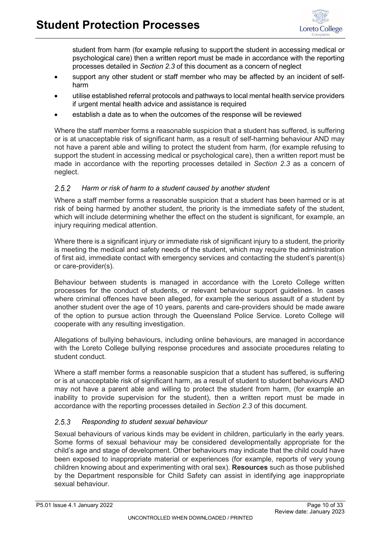

student from harm (for example refusing to support the student in accessing medical or psychological care) then a written report must be made in accordance with the reporting processes detailed in *Section [2.3](#page-6-0)* of this document as a concern of neglect

- support any other student or staff member who may be affected by an incident of selfharm
- utilise established referral protocols and pathways to local mental health service providers if urgent mental health advice and assistance is required
- establish a date as to when the outcomes of the response will be reviewed

Where the staff member forms a reasonable suspicion that a student has suffered, is suffering or is at unacceptable risk of significant harm, as a result of self-harming behaviour AND may not have a parent able and willing to protect the student from harm, (for example refusing to support the student in accessing medical or psychological care), then a written report must be made in accordance with the reporting processes detailed in *Section 2.3* as a concern of neglect.

#### <span id="page-9-0"></span>*Harm or risk of harm to a student caused by another student*   $2.5.2$

Where a staff member forms a reasonable suspicion that a student has been harmed or is at risk of being harmed by another student, the priority is the immediate safety of the student, which will include determining whether the effect on the student is significant, for example, an injury requiring medical attention.

Where there is a significant injury or immediate risk of significant injury to a student, the priority is meeting the medical and safety needs of the student, which may require the administration of first aid, immediate contact with emergency services and contacting the student's parent(s) or care-provider(s).

Behaviour between students is managed in accordance with the Loreto College written processes for the conduct of students, or relevant behaviour support guidelines. In cases where criminal offences have been alleged, for example the serious assault of a student by another student over the age of 10 years, parents and care-providers should be made aware of the option to pursue action through the Queensland Police Service. Loreto College will cooperate with any resulting investigation.

Allegations of bullying behaviours, including online behaviours, are managed in accordance with the Loreto College bullying response procedures and associate procedures relating to student conduct.

Where a staff member forms a reasonable suspicion that a student has suffered, is suffering or is at unacceptable risk of significant harm, as a result of student to student behaviours AND may not have a parent able and willing to protect the student from harm, (for example an inability to provide supervision for the student), then a written report must be made in accordance with the reporting processes detailed in *Section 2.3* of this document.

#### <span id="page-9-1"></span> $2.5.3$ *Responding to student sexual behaviour*

Sexual behaviours of various kinds may be evident in children, particularly in the early years. Some forms of sexual behaviour may be considered developmentally appropriate for the child's age and stage of development. Other behaviours may indicate that the child could have been exposed to inappropriate material or experiences (for example, reports of very young children knowing about and experimenting with oral sex). **Resources** such as those published by the Department responsible for Child Safety can assist in identifying age inappropriate sexual behaviour.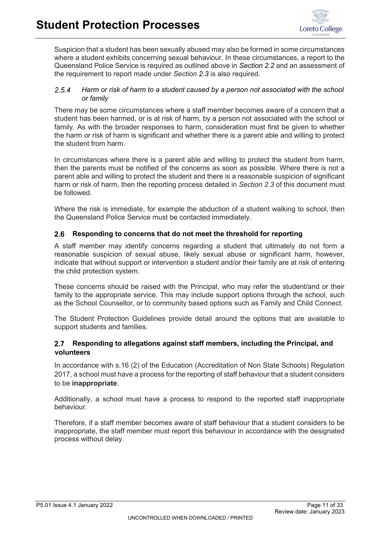

Suspicion that a student has been sexually abused may also be formed in some circumstances where a student exhibits concerning sexual behaviour. In these circumstances, a report to the Queensland Police Service is required as outlined above in *[Section 2.2](#page-5-0)* and an assessment of the requirement to report made under *Section [2.3](#page-6-0)* is also required.

#### <span id="page-10-0"></span> $2.5.4$ *Harm or risk of harm to a student caused by a person not associated with the school or family*

There may be some circumstances where a staff member becomes aware of a concern that a student has been harmed, or is at risk of harm, by a person not associated with the school or family. As with the broader responses to harm, consideration must first be given to whether the harm or risk of harm is significant and whether there is a parent able and willing to protect the student from harm.

In circumstances where there is a parent able and willing to protect the student from harm, then the parents must be notified of the concerns as soon as possible. Where there is not a parent able and willing to protect the student and there is a reasonable suspicion of significant harm or risk of harm, then the reporting process detailed in *Section 2.3* of this document must be followed.

Where the risk is immediate, for example the abduction of a student walking to school, then the Queensland Police Service must be contacted immediately.

# <span id="page-10-1"></span>**Responding to concerns that do not meet the threshold for reporting**

A staff member may identify concerns regarding a student that ultimately do not form a reasonable suspicion of sexual abuse, likely sexual abuse or significant harm, however, indicate that without support or intervention a student and/or their family are at risk of entering the child protection system.

These concerns should be raised with the Principal, who may refer the student/and or their family to the appropriate service. This may include support options through the school, such as the School Counsellor, or to community based options such as Family and Child Connect.

The Student Protection Guidelines provide detail around the options that are available to support students and families.

# <span id="page-10-2"></span>**Responding to allegations against staff members, including the Principal, and volunteers**

In accordance with s.16 (2) of the Education (Accreditation of Non State Schools) Regulation 2017, a school must have a process for the reporting of staff behaviour that a student considers to be **inappropriate**.

Additionally, a school must have a process to respond to the reported staff inappropriate behaviour.

Therefore, if a staff member becomes aware of staff behaviour that a student considers to be inappropriate, the staff member must report this behaviour in accordance with the designated process without delay.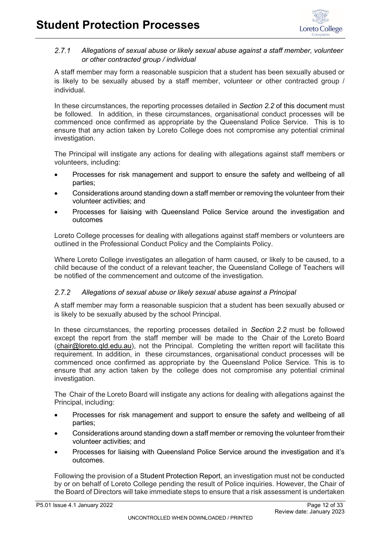

#### <span id="page-11-0"></span>*Allegations of sexual abuse or likely sexual abuse against a staff member, volunteer*  $2.7.1$ *or other contracted group / individual*

A staff member may form a reasonable suspicion that a student has been sexually abused or is likely to be sexually abused by a staff member, volunteer or other contracted group / individual.

In these circumstances, the reporting processes detailed in *[Section 2.2](#page-5-0)* of this document must be followed. In addition, in these circumstances, organisational conduct processes will be commenced once confirmed as appropriate by the Queensland Police Service. This is to ensure that any action taken by Loreto College does not compromise any potential criminal investigation.

The Principal will instigate any actions for dealing with allegations against staff members or volunteers, including:

- Processes for risk management and support to ensure the safety and wellbeing of all parties;
- Considerations around standing down a staff member or removing the volunteer from their volunteer activities; and
- Processes for liaising with Queensland Police Service around the investigation and outcomes

Loreto College processes for dealing with allegations against staff members or volunteers are outlined in the Professional Conduct Policy and the Complaints Policy.

Where Loreto College investigates an allegation of harm caused, or likely to be caused, to a child because of the conduct of a relevant teacher, the Queensland College of Teachers will be notified of the commencement and outcome of the investigation.

#### <span id="page-11-1"></span> $2.7.2$ *Allegations of sexual abuse or likely sexual abuse against a Principal*

A staff member may form a reasonable suspicion that a student has been sexually abused or is likely to be sexually abused by the school Principal.

In these circumstances, the reporting processes detailed in *[Section 2.2](#page-5-0)* must be followed except the report from the staff member will be made to the Chair of the Loreto Board (chair@loreto.qld.edu.au), not the Principal. Completing the written report will facilitate this requirement. In addition, in these circumstances, organisational conduct processes will be commenced once confirmed as appropriate by the Queensland Police Service. This is to ensure that any action taken by the college does not compromise any potential criminal investigation.

The Chair of the Loreto Board will instigate any actions for dealing with allegations against the Principal, including:

- Processes for risk management and support to ensure the safety and wellbeing of all parties;
- Considerations around standing down a staff member or removing the volunteer fromtheir volunteer activities; and
- Processes for liaising with Queensland Police Service around the investigation and it's outcomes.

Following the provision of a [Student Protection Report,](https://loretotass.loreto.qld.edu.au/kiosk/inline-file.cfm?do=ui.web.general.main.schoolLink&item_code=CUS720) an investigation must not be conducted by or on behalf of Loreto College pending the result of Police inquiries. However, the Chair of the Board of Directors will take immediate steps to ensure that a risk assessment is undertaken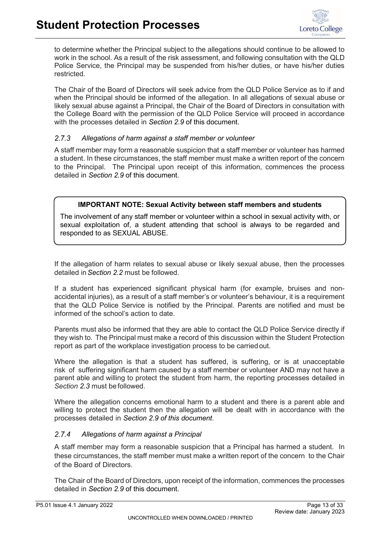

to determine whether the Principal subject to the allegations should continue to be allowed to work in the school. As a result of the risk assessment, and following consultation with the QLD Police Service, the Principal may be suspended from his/her duties, or have his/her duties restricted.

The Chair of the Board of Directors will seek advice from the QLD Police Service as to if and when the Principal should be informed of the allegation. In all allegations of sexual abuse or likely sexual abuse against a Principal, the Chair of the Board of Directors in consultation with the College Board with the permission of the QLD Police Service will proceed in accordance with the processes detailed in *[Section 2.9](#page-16-0)* of this document.

## <span id="page-12-0"></span> *Allegations of harm against a staff member or volunteer*

A staff member may form a reasonable suspicion that a staff member or volunteer has harmed a student. In these circumstances, the staff member must make a written report of the concern to the Principal. The Principal upon receipt of this information, commences the process detailed in *[Section 2.9](#page-16-0)* of this document.

## **IMPORTANT NOTE: Sexual Activity between staff members and students**

The involvement of any staff member or volunteer within a school in sexual activity with, or sexual exploitation of, a student attending that school is always to be regarded and responded to as SEXUAL ABUSE.

If the allegation of harm relates to sexual abuse or likely sexual abuse, then the processes detailed in*[Section 2.2](#page-5-0)* must be followed.

If a student has experienced significant physical harm (for example, bruises and nonaccidental injuries), as a result of a staff member's or volunteer's behaviour, it is a requirement that the QLD Police Service is notified by the Principal. Parents are notified and must be informed of the school's action to date.

Parents must also be informed that they are able to contact the QLD Police Service directly if they wish to. The Principal must make a record of this discussion within the Student Protection report as part of the workplace investigation process to be carriedout.

Where the allegation is that a student has suffered, is suffering, or is at unacceptable risk of suffering significant harm caused by a staff member or volunteer AND may not have a parent able and willing to protect the student from harm, the reporting processes detailed in *Section [2.3](#page-6-0)* must befollowed.

Where the allegation concerns emotional harm to a student and there is a parent able and willing to protect the student then the allegation will be dealt with in accordance with the processes detailed in *[Section 2.9 of](#page-16-0) this document.*

#### <span id="page-12-1"></span> $2.7.4$ *Allegations of harm against a Principal*

A staff member may form a reasonable suspicion that a Principal has harmed a student. In these circumstances, the staff member must make a written report of the concern to the Chair of the Board of Directors.

The Chair of the Board of Directors, upon receipt of the information, commences the processes detailed in *[Section 2.9](#page-16-0)* of this document.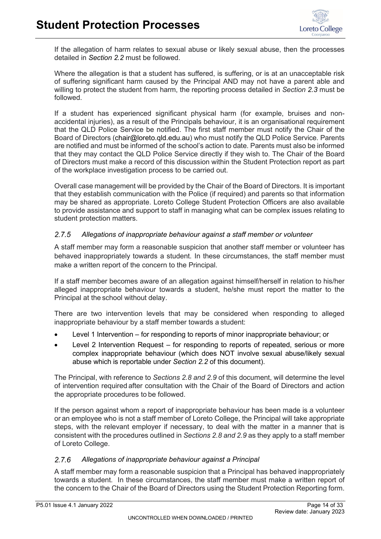

If the allegation of harm relates to sexual abuse or likely sexual abuse, then the processes detailed in *[Section 2.2](#page-5-0)* must be followed.

Where the allegation is that a student has suffered, is suffering, or is at an unacceptable risk of suffering significant harm caused by the Principal AND may not have a parent able and willing to protect the student from harm, the reporting process detailed in *Section [2.3](#page-6-0)* must be followed.

If a student has experienced significant physical harm (for example, bruises and nonaccidental injuries), as a result of the Principals behaviour, it is an organisational requirement that the QLD Police Service be notified. The first staff member must notify the Chair of the Board of Directors (chair@loreto.qld.edu.au) who must notify the QLD Police Service. Parents are notified and must be informed of the school's action to date. Parents must also be informed that they may contact the QLD Police Service directly if they wish to. The Chair of the Board of Directors must make a record of this discussion within the Student Protection report as part of the workplace investigation process to be carried out.

Overall case management will be provided by the Chair of the Board of Directors. It is important that they establish communication with the Police (if required) and parents so that information may be shared as appropriate. Loreto College Student Protection Officers are also available to provide assistance and support to staff in managing what can be complex issues relating to student protection matters.

#### <span id="page-13-0"></span> $2.7.5$ *Allegations of inappropriate behaviour against a staff member or volunteer*

A staff member may form a reasonable suspicion that another staff member or volunteer has behaved inappropriately towards a student. In these circumstances, the staff member must make a written report of the concern to the Principal.

If a staff member becomes aware of an allegation against himself/herself in relation to his/her alleged inappropriate behaviour towards a student, he/she must report the matter to the Principal at the school without delay.

There are two intervention levels that may be considered when responding to alleged inappropriate behaviour by a staff member towards a student:

- Level 1 Intervention for responding to reports of minor inappropriate behaviour; or
- Level 2 Intervention Request for responding to reports of repeated, serious or more complex inappropriate behaviour (which does NOT involve sexual abuse/likely sexual abuse which is reportable under *Section 2.2* of this document).

The Principal, with reference to *Sections 2.8 and 2.9* of this document, will determine the level of intervention required after consultation with the Chair of the Board of Directors and action the appropriate procedures to be followed.

If the person against whom a report of inappropriate behaviour has been made is a volunteer or an employee who is not a staff member of Loreto College, the Principal will take appropriate steps, with the relevant employer if necessary, to deal with the matter in a manner that is consistent with the procedures outlined in *Sections 2.8 and 2.9* as they apply to a staff member of Loreto College.

#### <span id="page-13-1"></span> $2.7.6$ *Allegations of inappropriate behaviour against a Principal*

A staff member may form a reasonable suspicion that a Principal has behaved inappropriately towards a student. In these circumstances, the staff member must make a written report of the concern to the Chair of the Board of Directors using the Student Protection Reporting form.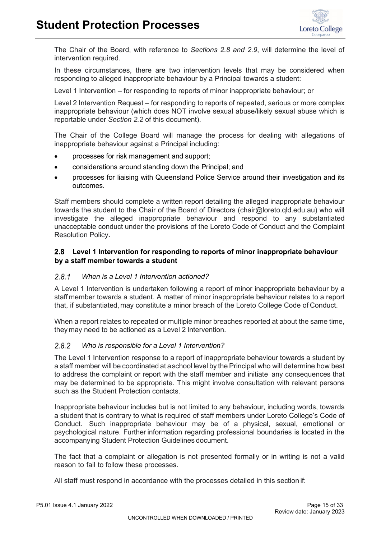

The Chair of the Board, with reference to *Sections 2.8 and 2.9*, will determine the level of intervention required.

In these circumstances, there are two intervention levels that may be considered when responding to alleged inappropriate behaviour by a Principal towards a student:

Level 1 Intervention – for responding to reports of minor inappropriate behaviour; or

Level 2 Intervention Request – for responding to reports of repeated, serious or more complex inappropriate behaviour (which does NOT involve sexual abuse/likely sexual abuse which is reportable under *Section 2.2* of this document).

The Chair of the College Board will manage the process for dealing with allegations of inappropriate behaviour against a Principal including:

- processes for risk management and support;
- considerations around standing down the Principal; and
- processes for liaising with Queensland Police Service around their investigation and its outcomes.

Staff members should complete a written report detailing the alleged inappropriate behaviour towards the student to the Chair of the Board of Directors (chair@loreto.qld.edu.au) who will investigate the alleged inappropriate behaviour and respond to any substantiated unacceptable conduct under the provisions of the Loreto Code of Conduct and the Complaint Resolution Policy**.**

# <span id="page-14-0"></span>**Level 1 Intervention for responding to reports of minor inappropriate behaviour by a staff member towards a student**

#### <span id="page-14-1"></span> $2.8.1$ *When is a Level 1 Intervention actioned?*

A Level 1 Intervention is undertaken following a report of minor inappropriate behaviour by a staff member towards a student. A matter of minor inappropriate behaviour relates to a report that, if substantiated, may constitute a minor breach of the Loreto College Code of Conduct.

When a report relates to repeated or multiple minor breaches reported at about the same time, they may need to be actioned as a Level 2 Intervention.

#### <span id="page-14-2"></span>*Who is responsible for a Level 1 Intervention?*  $2.8.2$

The Level 1 Intervention response to a report of inappropriate behaviour towards a student by a staff member will be coordinated at a school level by the Principal who will determine how best to address the complaint or report with the staff member and initiate any consequences that may be determined to be appropriate. This might involve consultation with relevant persons such as the Student Protection contacts.

Inappropriate behaviour includes but is not limited to any behaviour, including words, towards a student that is contrary to what is required of staff members under Loreto College's Code of Conduct. Such inappropriate behaviour may be of a physical, sexual, emotional or psychological nature. Further information regarding professional boundaries is located in the accompanying Student Protection Guidelines document.

The fact that a complaint or allegation is not presented formally or in writing is not a valid reason to fail to follow these processes.

All staff must respond in accordance with the processes detailed in this section if: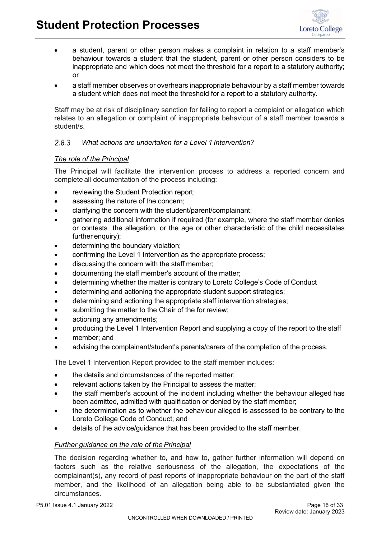

- a student, parent or other person makes a complaint in relation to a staff member's behaviour towards a student that the student, parent or other person considers to be inappropriate and which does not meet the threshold for a report to a statutory authority; or
- a staff member observes or overhears inappropriate behaviour by a staff member towards a student which does not meet the threshold for a report to a statutory authority.

Staff may be at risk of disciplinary sanction for failing to report a complaint or allegation which relates to an allegation or complaint of inappropriate behaviour of a staff member towards a student/s.

#### <span id="page-15-0"></span> $2.8.3$ *What actions are undertaken for a Level 1 Intervention?*

# *The role of the Principal*

The Principal will facilitate the intervention process to address a reported concern and complete all documentation of the process including:

- reviewing the Student Protection report;
- assessing the nature of the concern:
- clarifying the concern with the student/parent/complainant;
- gathering additional information if required (for example, where the staff member denies or contests the allegation, or the age or other characteristic of the child necessitates further enquiry);
- determining the boundary violation;
- confirming the Level 1 Intervention as the appropriate process;
- discussing the concern with the staff member;
- documenting the staff member's account of the matter;
- determining whether the matter is contrary to Loreto College's Code of Conduct
- determining and actioning the appropriate student support strategies;
- determining and actioning the appropriate staff intervention strategies;
- submitting the matter to the Chair of the for review;
- actioning any amendments;
- producing the Level 1 Intervention Report and supplying a copy of the report to the staff
- member; and
- advising the complainant/student's parents/carers of the completion of the process.

The Level 1 Intervention Report provided to the staff member includes:

- the details and circumstances of the reported matter;
- relevant actions taken by the Principal to assess the matter;
- the staff member's account of the incident including whether the behaviour alleged has been admitted, admitted with qualification or denied by the staff member;
- the determination as to whether the behaviour alleged is assessed to be contrary to the Loreto College Code of Conduct; and
- details of the advice/guidance that has been provided to the staff member.

# *Further guidance on the role of the Principal*

The decision regarding whether to, and how to, gather further information will depend on factors such as the relative seriousness of the allegation, the expectations of the complainant(s), any record of past reports of inappropriate behaviour on the part of the staff member, and the likelihood of an allegation being able to be substantiated given the circumstances.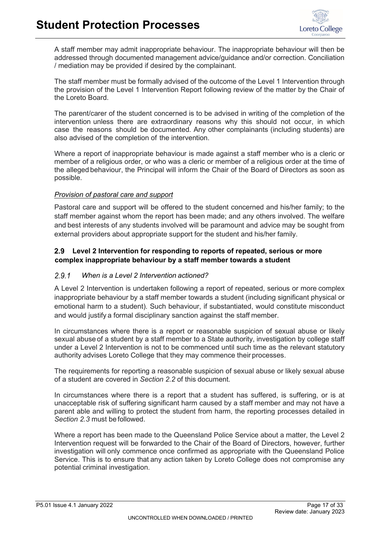

A staff member may admit inappropriate behaviour. The inappropriate behaviour will then be addressed through documented management advice/guidance and/or correction. Conciliation / mediation may be provided if desired by the complainant.

The staff member must be formally advised of the outcome of the Level 1 Intervention through the provision of the Level 1 Intervention Report following review of the matter by the Chair of the Loreto Board.

The parent/carer of the student concerned is to be advised in writing of the completion of the intervention unless there are extraordinary reasons why this should not occur, in which case the reasons should be documented. Any other complainants (including students) are also advised of the completion of the intervention.

Where a report of inappropriate behaviour is made against a staff member who is a cleric or member of a religious order, or who was a cleric or member of a religious order at the time of the alleged behaviour, the Principal will inform the Chair of the Board of Directors as soon as possible.

## *Provision of pastoral care and support*

Pastoral care and support will be offered to the student concerned and his/her family; to the staff member against whom the report has been made; and any others involved. The welfare and best interests of any students involved will be paramount and advice may be sought from external providers about appropriate support for the student and his/her family.

# <span id="page-16-0"></span>**Level 2 Intervention for responding to reports of repeated, serious or more complex inappropriate behaviour by a staff member towards a student**

#### <span id="page-16-1"></span> $2.9.1$ *When is a Level 2 Intervention actioned?*

A Level 2 Intervention is undertaken following a report of repeated, serious or more complex inappropriate behaviour by a staff member towards a student (including significant physical or emotional harm to a student). Such behaviour, if substantiated, would constitute misconduct and would justify a formal disciplinary sanction against the staff member.

In circumstances where there is a report or reasonable suspicion of sexual abuse or likely sexual abuse of a student by a staff member to a State authority, investigation by college staff under a Level 2 Intervention is not to be commenced until such time as the relevant statutory authority advises Loreto College that they may commence their processes.

The requirements for reporting a reasonable suspicion of sexual abuse or likely sexual abuse of a student are covered in *Section 2.2* of this document.

In circumstances where there is a report that a student has suffered, is suffering, or is at unacceptable risk of suffering significant harm caused by a staff member and may not have a parent able and willing to protect the student from harm, the reporting processes detailed in *Section 2.3* must be followed.

Where a report has been made to the Queensland Police Service about a matter, the Level 2 Intervention request will be forwarded to the Chair of the Board of Directors, however, further investigation will only commence once confirmed as appropriate with the Queensland Police Service. This is to ensure that any action taken by Loreto College does not compromise any potential criminal investigation.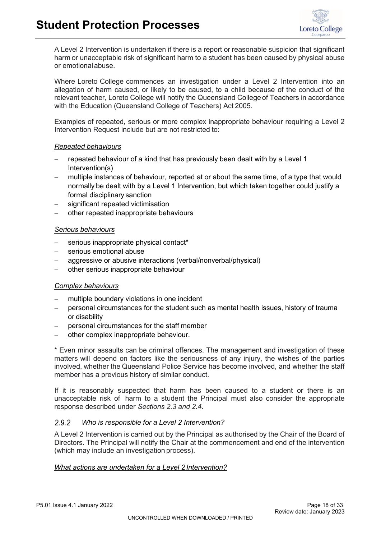

A Level 2 Intervention is undertaken if there is a report or reasonable suspicion that significant harm or unacceptable risk of significant harm to a student has been caused by physical abuse or emotionalabuse.

Where Loreto College commences an investigation under a Level 2 Intervention into an allegation of harm caused, or likely to be caused, to a child because of the conduct of the relevant teacher, Loreto College will notify the Queensland College of Teachers in accordance with the Education (Queensland College of Teachers) Act 2005.

Examples of repeated, serious or more complex inappropriate behaviour requiring a Level 2 Intervention Request include but are not restricted to:

### *Repeated behaviours*

- repeated behaviour of a kind that has previously been dealt with by a Level 1 Intervention(s)
- multiple instances of behaviour, reported at or about the same time, of a type that would normally be dealt with by a Level 1 Intervention, but which taken together could justify a formal disciplinary sanction
- significant repeated victimisation
- − other repeated inappropriate behaviours

### *Serious behaviours*

- serious inappropriate physical contact\*
- serious emotional abuse
- − aggressive or abusive interactions (verbal/nonverbal/physical)
- − other serious inappropriate behaviour

### *Complex behaviours*

- multiple boundary violations in one incident
- personal circumstances for the student such as mental health issues, history of trauma or disability
- − personal circumstances for the staff member
- − other complex inappropriate behaviour.

\* Even minor assaults can be criminal offences. The management and investigation of these matters will depend on factors like the seriousness of any injury, the wishes of the parties involved, whether the Queensland Police Service has become involved, and whether the staff member has a previous history of similar conduct.

If it is reasonably suspected that harm has been caused to a student or there is an unacceptable risk of harm to a student the Principal must also consider the appropriate response described under *Sections 2.3 and 2.4*.

#### <span id="page-17-0"></span> $2.9.2$ *Who is responsible for a Level 2 Intervention?*

A Level 2 Intervention is carried out by the Principal as authorised by the Chair of the Board of Directors. The Principal will notify the Chair at the commencement and end of the intervention (which may include an investigation process).

### *What actions are undertaken for a Level 2 Intervention?*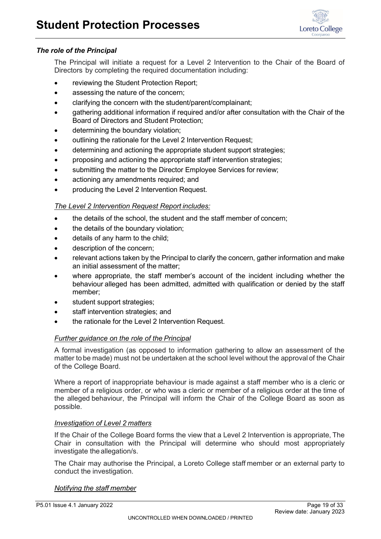

### *The role of the Principal*

The Principal will initiate a request for a Level 2 Intervention to the Chair of the Board of Directors by completing the required documentation including:

- reviewing the Student Protection Report;
- assessing the nature of the concern;
- clarifying the concern with the student/parent/complainant;
- gathering additional information if required and/or after consultation with the Chair of the Board of Directors and Student Protection;
- determining the boundary violation;
- outlining the rationale for the Level 2 Intervention Request;
- determining and actioning the appropriate student support strategies;
- proposing and actioning the appropriate staff intervention strategies;
- submitting the matter to the Director Employee Services for review;
- actioning any amendments required; and
- producing the Level 2 Intervention Request.

### *The Level 2 Intervention Request Report includes:*

- the details of the school, the student and the staff member of concern;
- the details of the boundary violation;
- details of any harm to the child;
- description of the concern;
- relevant actions taken by the Principal to clarify the concern, gather information and make an initial assessment of the matter;
- where appropriate, the staff member's account of the incident including whether the behaviour alleged has been admitted, admitted with qualification or denied by the staff member;
- student support strategies;
- staff intervention strategies; and
- the rationale for the Level 2 Intervention Request.

### *Further guidance on the role of the Principal*

A formal investigation (as opposed to information gathering to allow an assessment of the matter to be made) must not be undertaken at the school level without the approval of the Chair of the College Board.

Where a report of inappropriate behaviour is made against a staff member who is a cleric or member of a religious order, or who was a cleric or member of a religious order at the time of the alleged behaviour, the Principal will inform the Chair of the College Board as soon as possible.

### *Investigation of Level 2 matters*

If the Chair of the College Board forms the view that a Level 2 Intervention is appropriate, The Chair in consultation with the Principal will determine who should most appropriately investigate the allegation/s.

The Chair may authorise the Principal, a Loreto College staff member or an external party to conduct the investigation.

### *Notifying the staff member*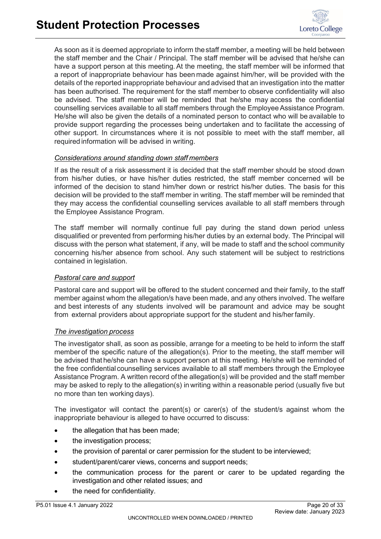

As soon as it is deemed appropriate to inform thestaff member, a meeting will be held between the staff member and the Chair / Principal. The staff member will be advised that he/she can have a support person at this meeting. At the meeting, the staff member will be informed that a report of inappropriate behaviour has been made against him/her, will be provided with the details of the reported inappropriate behaviour and advised that an investigation into the matter has been authorised. The requirement for the staff member to observe confidentiality will also be advised. The staff member will be reminded that he/she may access the confidential counselling services available to all staff members through the Employee Assistance Program. He/she will also be given the details of a nominated person to contact who will be available to provide support regarding the processes being undertaken and to facilitate the accessing of other support. In circumstances where it is not possible to meet with the staff member, all required information will be advised in writing.

## *Considerations around standing down staff members*

If as the result of a risk assessment it is decided that the staff member should be stood down from his/her duties, or have his/her duties restricted, the staff member concerned will be informed of the decision to stand him/her down or restrict his/her duties. The basis for this decision will be provided to the staff member in writing. The staff member will be reminded that they may access the confidential counselling services available to all staff members through the Employee Assistance Program.

The staff member will normally continue full pay during the stand down period unless disqualified or prevented from performing his/her duties by an external body. The Principal will discuss with the person what statement, if any, will be made to staff and the school community concerning his/her absence from school. Any such statement will be subject to restrictions contained in legislation.

### *Pastoral care and support*

Pastoral care and support will be offered to the student concerned and their family, to the staff member against whom the allegation/s have been made, and any others involved. The welfare and best interests of any students involved will be paramount and advice may be sought from external providers about appropriate support for the student and his/herfamily.

### *The investigation process*

The investigator shall, as soon as possible, arrange for a meeting to be held to inform the staff member of the specific nature of the allegation(s). Prior to the meeting, the staff member will be advised that he/she can have a support person at this meeting. He/she will be reminded of the free confidential counselling services available to all staff members through the Employee Assistance Program. A written record ofthe allegation(s) will be provided and the staff member may be asked to reply to the allegation(s) in writing within a reasonable period (usually five but no more than ten working days).

The investigator will contact the parent(s) or carer(s) of the student/s against whom the inappropriate behaviour is alleged to have occurred to discuss:

- the allegation that has been made;
- the investigation process;
- the provision of parental or carer permission for the student to be interviewed;
- student/parent/carer views, concerns and support needs;
- the communication process for the parent or carer to be updated regarding the investigation and other related issues; and
- the need for confidentiality.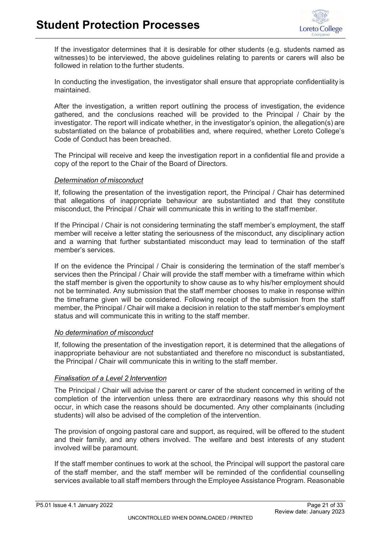

If the investigator determines that it is desirable for other students (e.g. students named as witnesses) to be interviewed, the above guidelines relating to parents or carers will also be followed in relation to the further students.

In conducting the investigation, the investigator shall ensure that appropriate confidentiality is maintained.

After the investigation, a written report outlining the process of investigation, the evidence gathered, and the conclusions reached will be provided to the Principal / Chair by the investigator. The report will indicate whether, in the investigator's opinion, the allegation(s) are substantiated on the balance of probabilities and, where required, whether Loreto College's Code of Conduct has been breached.

The Principal will receive and keep the investigation report in a confidential file and provide a copy of the report to the Chair of the Board of Directors.

#### *Determination of misconduct*

If, following the presentation of the investigation report, the Principal / Chair has determined that allegations of inappropriate behaviour are substantiated and that they constitute misconduct, the Principal / Chair will communicate this in writing to the staff member.

If the Principal / Chair is not considering terminating the staff member's employment, the staff member will receive a letter stating the seriousness of the misconduct, any disciplinary action and a warning that further substantiated misconduct may lead to termination of the staff member's services.

If on the evidence the Principal / Chair is considering the termination of the staff member's services then the Principal / Chair will provide the staff member with a timeframe within which the staff member is given the opportunity to show cause as to why his/her employment should not be terminated. Any submission that the staff member chooses to make in response within the timeframe given will be considered. Following receipt of the submission from the staff member, the Principal / Chair will make a decision in relation to the staff member's employment status and will communicate this in writing to the staff member.

#### *No determination of misconduct*

If, following the presentation of the investigation report, it is determined that the allegations of inappropriate behaviour are not substantiated and therefore no misconduct is substantiated, the Principal / Chair will communicate this in writing to the staff member.

### *Finalisation of a Level 2 Intervention*

The Principal / Chair will advise the parent or carer of the student concerned in writing of the completion of the intervention unless there are extraordinary reasons why this should not occur, in which case the reasons should be documented. Any other complainants (including students) will also be advised of the completion of the intervention.

The provision of ongoing pastoral care and support, as required, will be offered to the student and their family, and any others involved. The welfare and best interests of any student involved will be paramount.

If the staff member continues to work at the school, the Principal will support the pastoral care of the staff member, and the staff member will be reminded of the confidential counselling services available toall staff members through the Employee Assistance Program. Reasonable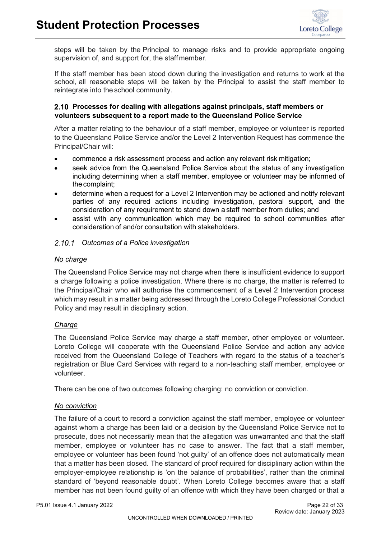

steps will be taken by the Principal to manage risks and to provide appropriate ongoing supervision of, and support for, the staffmember.

If the staff member has been stood down during the investigation and returns to work at the school, all reasonable steps will be taken by the Principal to assist the staff member to reintegrate into the school community.

# <span id="page-21-0"></span>**Processes for dealing with allegations against principals, staff members or volunteers subsequent to a report made to the Queensland Police Service**

After a matter relating to the behaviour of a staff member, employee or volunteer is reported to the Queensland Police Service and/or the Level 2 Intervention Request has commence the Principal/Chair will:

- commence a risk assessment process and action any relevant risk mitigation;
- seek advice from the Queensland Police Service about the status of any investigation including determining when a staff member, employee or volunteer may be informed of the complaint;
- determine when a request for a Level 2 Intervention may be actioned and notify relevant parties of any required actions including investigation, pastoral support, and the consideration of any requirement to stand down a staff member from duties; and
- assist with any communication which may be required to school communities after consideration of and/or consultation with stakeholders.

# <span id="page-21-1"></span>*Outcomes of a Police investigation*

## *No charge*

The Queensland Police Service may not charge when there is insufficient evidence to support a charge following a police investigation. Where there is no charge, the matter is referred to the Principal/Chair who will authorise the commencement of a Level 2 Intervention process which may result in a matter being addressed through the Loreto College Professional Conduct Policy and may result in disciplinary action.

# *Charge*

The Queensland Police Service may charge a staff member, other employee or volunteer. Loreto College will cooperate with the Queensland Police Service and action any advice received from the Queensland College of Teachers with regard to the status of a teacher's registration or Blue Card Services with regard to a non-teaching staff member, employee or volunteer.

There can be one of two outcomes following charging: no conviction or conviction.

# *No conviction*

The failure of a court to record a conviction against the staff member, employee or volunteer against whom a charge has been laid or a decision by the Queensland Police Service not to prosecute, does not necessarily mean that the allegation was unwarranted and that the staff member, employee or volunteer has no case to answer. The fact that a staff member, employee or volunteer has been found 'not guilty' of an offence does not automatically mean that a matter has been closed. The standard of proof required for disciplinary action within the employer-employee relationship is 'on the balance of probabilities', rather than the criminal standard of 'beyond reasonable doubt'. When Loreto College becomes aware that a staff member has not been found guilty of an offence with which they have been charged or that a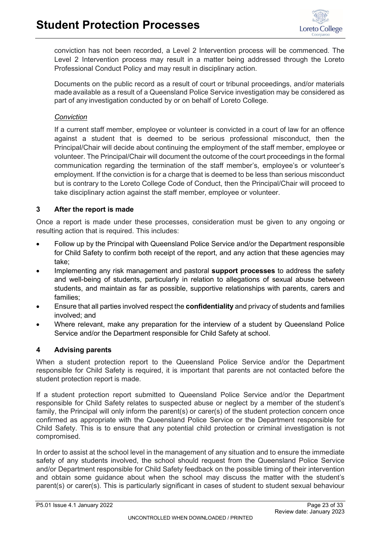

conviction has not been recorded, a Level 2 Intervention process will be commenced. The Level 2 Intervention process may result in a matter being addressed through the Loreto Professional Conduct Policy and may result in disciplinary action.

Documents on the public record as a result of court or tribunal proceedings, and/or materials made available as a result of a Queensland Police Service investigation may be considered as part of any investigation conducted by or on behalf of Loreto College.

### *Conviction*

If a current staff member, employee or volunteer is convicted in a court of law for an offence against a student that is deemed to be serious professional misconduct, then the Principal/Chair will decide about continuing the employment of the staff member, employee or volunteer. The Principal/Chair will document the outcome of the court proceedings in the formal communication regarding the termination of the staff member's, employee's or volunteer's employment. If the conviction is for a charge that is deemed to be less than serious misconduct but is contrary to the Loreto College Code of Conduct, then the Principal/Chair will proceed to take disciplinary action against the staff member, employee or volunteer.

# <span id="page-22-0"></span>**3 After the report is made**

Once a report is made under these processes, consideration must be given to any ongoing or resulting action that is required. This includes:

- Follow up by the Principal with Queensland Police Service and/or the Department responsible for Child Safety to confirm both receipt of the report, and any action that these agencies may take;
- Implementing any risk management and pastoral **support processes** to address the safety and well-being of students, particularly in relation to allegations of sexual abuse between students, and maintain as far as possible, supportive relationships with parents, carers and families;
- Ensure that all parties involved respect the **confidentiality** and privacy of students and families involved; and
- Where relevant, make any preparation for the interview of a student by Queensland Police Service and/or the Department responsible for Child Safety at school.

# <span id="page-22-1"></span>**4 Advising parents**

When a student protection report to the Queensland Police Service and/or the Department responsible for Child Safety is required, it is important that parents are not contacted before the student protection report is made.

If a student protection report submitted to Queensland Police Service and/or the Department responsible for Child Safety relates to suspected abuse or neglect by a member of the student's family, the Principal will only inform the parent(s) or carer(s) of the student protection concern once confirmed as appropriate with the Queensland Police Service or the Department responsible for Child Safety. This is to ensure that any potential child protection or criminal investigation is not compromised.

In order to assist at the school level in the management of any situation and to ensure the immediate safety of any students involved, the school should request from the Queensland Police Service and/or Department responsible for Child Safety feedback on the possible timing of their intervention and obtain some guidance about when the school may discuss the matter with the student's parent(s) or carer(s). This is particularly significant in cases of student to student sexual behaviour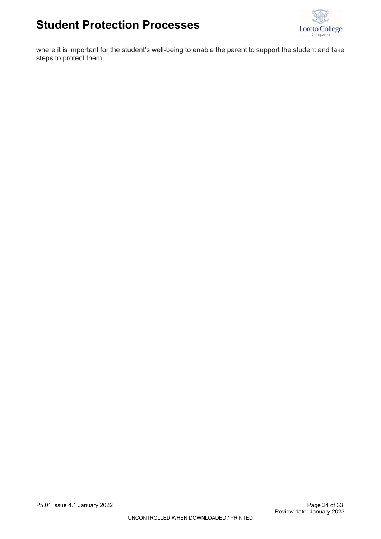

<span id="page-23-0"></span>where it is important for the student's well-being to enable the parent to support the student and take steps to protect them.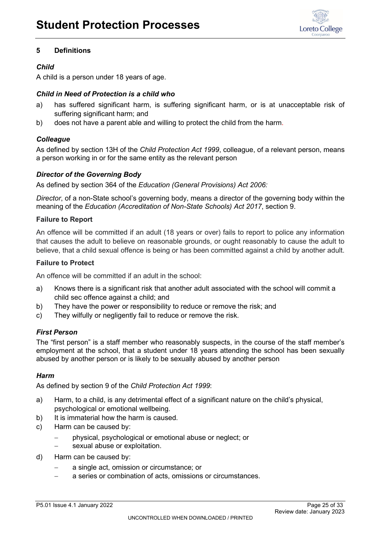

# **5 Definitions**

# *Child*

A child is a person under 18 years of age.

# *Child in Need of Protection is a child who*

- a) has suffered significant harm, is suffering significant harm, or is at unacceptable risk of suffering significant harm; and
- b) does not have a parent able and willing to protect the child from the harm.

# *Colleague*

As defined by section 13H of the *Child Protection Act 1999*, colleague, of a relevant person, means a person working in or for the same entity as the relevant person

## *Director of the Governing Body*

As defined by section 364 of the *Education (General Provisions) Act 2006:*

*Director*, of a non-State school's governing body, means a director of the governing body within the meaning of the *Education (Accreditation of Non-State Schools) Act 2017*, section 9.

## **Failure to Report**

An offence will be committed if an adult (18 years or over) fails to report to police any information that causes the adult to believe on reasonable grounds, or ought reasonably to cause the adult to believe, that a child sexual offence is being or has been committed against a child by another adult.

### **Failure to Protect**

An offence will be committed if an adult in the school:

- a) Knows there is a significant risk that another adult associated with the school will commit a child sec offence against a child; and
- b) They have the power or responsibility to reduce or remove the risk; and
- c) They wilfully or negligently fail to reduce or remove the risk.

# *First Person*

The "first person" is a staff member who reasonably suspects, in the course of the staff member's employment at the school, that a student under 18 years attending the school has been sexually abused by another person or is likely to be sexually abused by another person

### *Harm*

As defined by section 9 of the *Child Protection Act 1999*:

- a) Harm, to a child, is any detrimental effect of a significant nature on the child's physical, psychological or emotional wellbeing.
- b) It is immaterial how the harm is caused.
- c) Harm can be caused by:
	- − physical, psychological or emotional abuse or neglect; or
	- sexual abuse or exploitation.
- d) Harm can be caused by:
	- − a single act, omission or circumstance; or
	- a series or combination of acts, omissions or circumstances.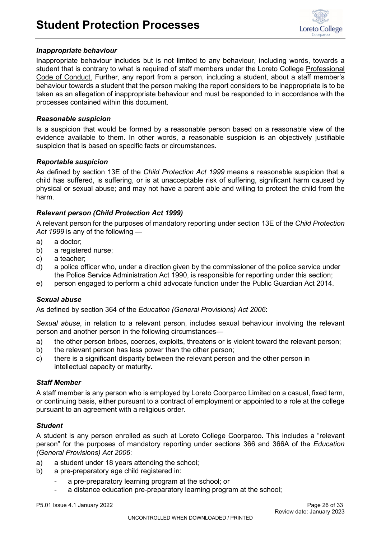

### *Inappropriate behaviour*

Inappropriate behaviour includes but is not limited to any behaviour, including words, towards a student that is contrary to what is required of staff members under the Loreto College Professional Code of Conduct. Further, any report from a person, including a student, about a staff member's behaviour towards a student that the person making the report considers to be inappropriate is to be taken as an allegation of inappropriate behaviour and must be responded to in accordance with the processes contained within this document.

### *Reasonable suspicion*

Is a suspicion that would be formed by a reasonable person based on a reasonable view of the evidence available to them. In other words, a reasonable suspicion is an objectively justifiable suspicion that is based on specific facts or circumstances.

## *Reportable suspicion*

As defined by section 13E of the *Child Protection Act 1999* means a reasonable suspicion that a child has suffered, is suffering, or is at unacceptable risk of suffering, significant harm caused by physical or sexual abuse; and may not have a parent able and willing to protect the child from the harm.

## *Relevant person (Child Protection Act 1999)*

A relevant person for the purposes of mandatory reporting under section 13E of the *Child Protection Act 1999* is any of the following —

- a) a doctor;
- b) a registered nurse;
- c) a teacher;
- d) a police officer who, under a direction given by the commissioner of the police service under the Police Service Administration Act 1990, is responsible for reporting under this section;
- e) person engaged to perform a child advocate function under the Public Guardian Act 2014.

# *Sexual abuse*

As defined by section 364 of the *Education (General Provisions) Act 2006*:

*Sexual abuse*, in relation to a relevant person, includes sexual behaviour involving the relevant person and another person in the following circumstances—

- a) the other person bribes, coerces, exploits, threatens or is violent toward the relevant person;
- b) the relevant person has less power than the other person;
- c) there is a significant disparity between the relevant person and the other person in intellectual capacity or maturity.

### *Staff Member*

A staff member is any person who is employed by Loreto Coorparoo Limited on a casual, fixed term, or continuing basis, either pursuant to a contract of employment or appointed to a role at the college pursuant to an agreement with a religious order.

# *Student*

A student is any person enrolled as such at Loreto College Coorparoo. This includes a "relevant person" for the purposes of mandatory reporting under sections 366 and 366A of the *Education (General Provisions) Act 2006*:

- a) a student under 18 years attending the school;
- b) a pre-preparatory age child registered in:
	- a pre-preparatory learning program at the school; or
		- a distance education pre-preparatory learning program at the school;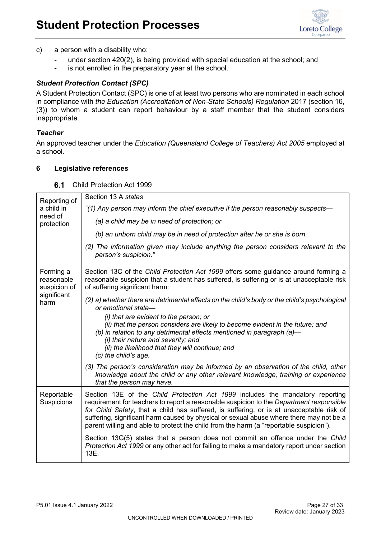

c) a person with a disability who:

- under section 420(2), is being provided with special education at the school; and
- is not enrolled in the preparatory year at the school.

# *Student Protection Contact (SPC)*

A Student Protection Contact (SPC) is one of at least two persons who are nominated in each school in compliance with *the Education (Accreditation of Non-State Schools) Regulation* 2017 (section 16, (3)) to whom a student can report behaviour by a staff member that the student considers inappropriate.

# *Teacher*

An approved teacher under the *Education (Queensland College of Teachers) Act 2005* employed at a school.

## <span id="page-26-1"></span><span id="page-26-0"></span>**6 Legislative references**

| Reporting of                            | Section 13 A states                                                                                                                                                                                                                                                                                                                                                                                                                                       |
|-----------------------------------------|-----------------------------------------------------------------------------------------------------------------------------------------------------------------------------------------------------------------------------------------------------------------------------------------------------------------------------------------------------------------------------------------------------------------------------------------------------------|
| a child in                              | "(1) Any person may inform the chief executive if the person reasonably suspects—                                                                                                                                                                                                                                                                                                                                                                         |
| need of<br>protection                   | (a) a child may be in need of protection; or                                                                                                                                                                                                                                                                                                                                                                                                              |
|                                         | (b) an unborn child may be in need of protection after he or she is born.                                                                                                                                                                                                                                                                                                                                                                                 |
|                                         | (2) The information given may include anything the person considers relevant to the<br>person's suspicion."                                                                                                                                                                                                                                                                                                                                               |
| Forming a<br>reasonable<br>suspicion of | Section 13C of the Child Protection Act 1999 offers some guidance around forming a<br>reasonable suspicion that a student has suffered, is suffering or is at unacceptable risk<br>of suffering significant harm:                                                                                                                                                                                                                                         |
| significant<br>harm                     | (2) a) whether there are detrimental effects on the child's body or the child's psychological<br>or emotional state-                                                                                                                                                                                                                                                                                                                                      |
|                                         | (i) that are evident to the person; or<br>(ii) that the person considers are likely to become evident in the future; and<br>(b) in relation to any detrimental effects mentioned in paragraph (a)-<br>(i) their nature and severity; and<br>(ii) the likelihood that they will continue; and<br>(c) the child's age.                                                                                                                                      |
|                                         | (3) The person's consideration may be informed by an observation of the child, other<br>knowledge about the child or any other relevant knowledge, training or experience<br>that the person may have.                                                                                                                                                                                                                                                    |
| Reportable<br>Suspicions                | Section 13E of the Child Protection Act 1999 includes the mandatory reporting<br>requirement for teachers to report a reasonable suspicion to the Department responsible<br>for Child Safety, that a child has suffered, is suffering, or is at unacceptable risk of<br>suffering, significant harm caused by physical or sexual abuse where there may not be a<br>parent willing and able to protect the child from the harm (a "reportable suspicion"). |
|                                         | Section 13G(5) states that a person does not commit an offence under the Child<br>Protection Act 1999 or any other act for failing to make a mandatory report under section<br>13E.                                                                                                                                                                                                                                                                       |

#### 6.1 Child Protection Act 1999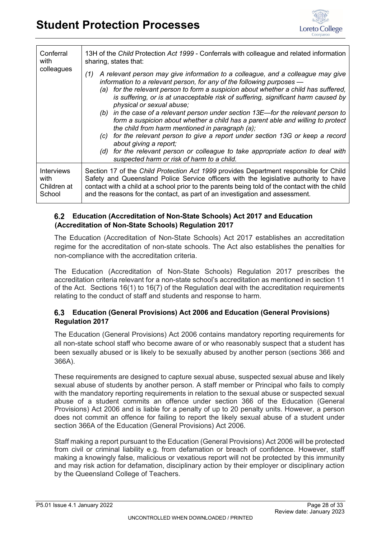

| Conferral<br>with                                                                                                                                                                                                                                                                                                                                                                                                     | 13H of the Child Protection Act 1999 - Conferrals with colleague and related information<br>sharing, states that:                                                                                                                                                                                                                                                                                                                                                                                                                                                                                                                                                                                                                                                                                                                                  |  |  |
|-----------------------------------------------------------------------------------------------------------------------------------------------------------------------------------------------------------------------------------------------------------------------------------------------------------------------------------------------------------------------------------------------------------------------|----------------------------------------------------------------------------------------------------------------------------------------------------------------------------------------------------------------------------------------------------------------------------------------------------------------------------------------------------------------------------------------------------------------------------------------------------------------------------------------------------------------------------------------------------------------------------------------------------------------------------------------------------------------------------------------------------------------------------------------------------------------------------------------------------------------------------------------------------|--|--|
| colleagues                                                                                                                                                                                                                                                                                                                                                                                                            | A relevant person may give information to a colleague, and a colleague may give<br>(1)<br>information to a relevant person, for any of the following purposes -<br>(a) for the relevant person to form a suspicion about whether a child has suffered,<br>is suffering, or is at unacceptable risk of suffering, significant harm caused by<br>physical or sexual abuse;<br>(b) in the case of a relevant person under section 13E—for the relevant person to<br>form a suspicion about whether a child has a parent able and willing to protect<br>the child from harm mentioned in paragraph (a);<br>(c) for the relevant person to give a report under section 13G or keep a record<br>about giving a report;<br>(d) for the relevant person or colleague to take appropriate action to deal with<br>suspected harm or risk of harm to a child. |  |  |
| <b>Interviews</b><br>Section 17 of the Child Protection Act 1999 provides Department responsible for Child<br>Safety and Queensland Police Service officers with the legislative authority to have<br>with<br>contact with a child at a school prior to the parents being told of the contact with the child<br>Children at<br>and the reasons for the contact, as part of an investigation and assessment.<br>School |                                                                                                                                                                                                                                                                                                                                                                                                                                                                                                                                                                                                                                                                                                                                                                                                                                                    |  |  |

# <span id="page-27-0"></span>**Education (Accreditation of Non-State Schools) Act 2017 and Education (Accreditation of Non-State Schools) Regulation 2017**

The Education (Accreditation of Non-State Schools) Act 2017 establishes an accreditation regime for the accreditation of non-state schools. The Act also establishes the penalties for non-compliance with the accreditation criteria.

The Education (Accreditation of Non-State Schools) Regulation 2017 prescribes the accreditation criteria relevant for a non-state school's accreditation as mentioned in section 11 of the Act. Sections 16(1) to 16(7) of the Regulation deal with the accreditation requirements relating to the conduct of staff and students and response to harm.

# <span id="page-27-1"></span>**Education (General Provisions) Act 2006 and Education (General Provisions) Regulation 2017**

The Education (General Provisions) Act 2006 contains mandatory reporting requirements for all non-state school staff who become aware of or who reasonably suspect that a student has been sexually abused or is likely to be sexually abused by another person (sections 366 and 366A).

These requirements are designed to capture sexual abuse, suspected sexual abuse and likely sexual abuse of students by another person. A staff member or Principal who fails to comply with the mandatory reporting requirements in relation to the sexual abuse or suspected sexual abuse of a student commits an offence under section 366 of the Education (General Provisions) Act 2006 and is liable for a penalty of up to 20 penalty units. However, a person does not commit an offence for failing to report the likely sexual abuse of a student under section 366A of the Education (General Provisions) Act 2006.

<span id="page-27-2"></span>Staff making a report pursuant to the Education (General Provisions) Act 2006 will be protected from civil or criminal liability e.g. from defamation or breach of confidence. However, staff making a knowingly false, malicious or vexatious report will not be protected by this immunity and may risk action for defamation, disciplinary action by their employer or disciplinary action by the Queensland College of Teachers.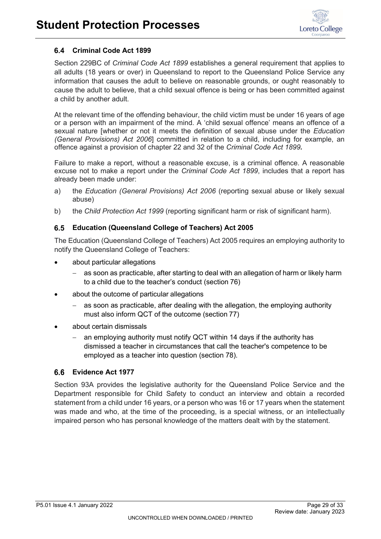

# **Criminal Code Act 1899**

Section 229BC of *Criminal Code Act 1899* establishes a general requirement that applies to all adults (18 years or over) in Queensland to report to the Queensland Police Service any information that causes the adult to believe on reasonable grounds, or ought reasonably to cause the adult to believe, that a child sexual offence is being or has been committed against a child by another adult.

At the relevant time of the offending behaviour, the child victim must be under 16 years of age or a person with an impairment of the mind. A 'child sexual offence' means an offence of a sexual nature [whether or not it meets the definition of sexual abuse under the *Education (General Provisions) Act 2006*] committed in relation to a child, including for example, an offence against a provision of chapter 22 and 32 of the *Criminal Code Act 1899.*

Failure to make a report, without a reasonable excuse, is a criminal offence. A reasonable excuse not to make a report under the *Criminal Code Act 1899*, includes that a report has already been made under:

- a) the *Education (General Provisions) Act 2006* (reporting sexual abuse or likely sexual abuse)
- b) the *Child Protection Act 1999* (reporting significant harm or risk of significant harm).

# <span id="page-28-0"></span>**Education (Queensland College of Teachers) Act 2005**

The Education (Queensland College of Teachers) Act 2005 requires an employing authority to notify the Queensland College of Teachers:

- about particular allegations
	- as soon as practicable, after starting to deal with an allegation of harm or likely harm to a child due to the teacher's conduct (section 76)
- about the outcome of particular allegations
	- − as soon as practicable, after dealing with the allegation, the employing authority must also inform QCT of the outcome (section 77)
- about certain dismissals
	- an employing authority must notify QCT within 14 days if the authority has dismissed a teacher in circumstances that call the teacher's competence to be employed as a teacher into question (section 78).

# <span id="page-28-1"></span>**Evidence Act 1977**

<span id="page-28-2"></span>Section 93A provides the legislative authority for the Queensland Police Service and the Department responsible for Child Safety to conduct an interview and obtain a recorded statement from a child under 16 years, or a person who was 16 or 17 years when the statement was made and who, at the time of the proceeding, is a special witness, or an intellectually impaired person who has personal knowledge of the matters dealt with by the statement.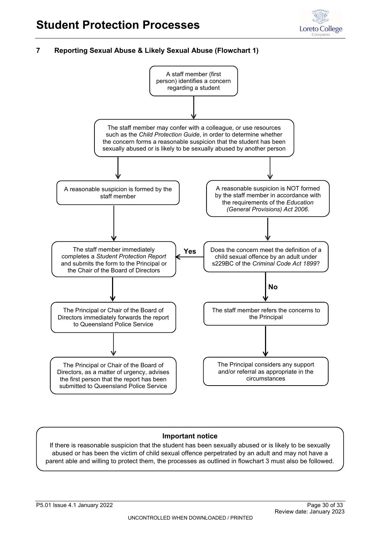

#### <span id="page-29-0"></span>**7 Reporting Sexual Abuse & Likely Sexual Abuse (Flowchart 1)**



#### **Important notice**

If there is reasonable suspicion that the student has been sexually abused or is likely to be sexually abused or has been the victim of child sexual offence perpetrated by an adult and may not have a parent able and willing to protect them, the processes as outlined in flowchart 3 must also be followed.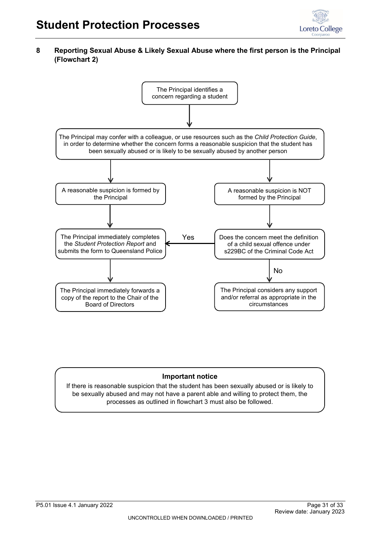

# <span id="page-30-0"></span>**8 Reporting Sexual Abuse & Likely Sexual Abuse where the first person is the Principal (Flowchart 2)**



### **Important notice**

If there is reasonable suspicion that the student has been sexually abused or is likely to be sexually abused and may not have a parent able and willing to protect them, the processes as outlined in flowchart 3 must also be followed.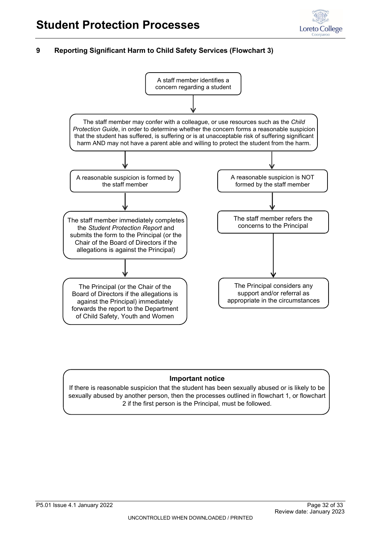

### <span id="page-31-0"></span>**9 Reporting Significant Harm to Child Safety Services (Flowchart 3)**



### **Important notice**

If there is reasonable suspicion that the student has been sexually abused or is likely to be sexually abused by another person, then the processes outlined in flowchart 1, or flowchart 2 if the first person is the Principal, must be followed.